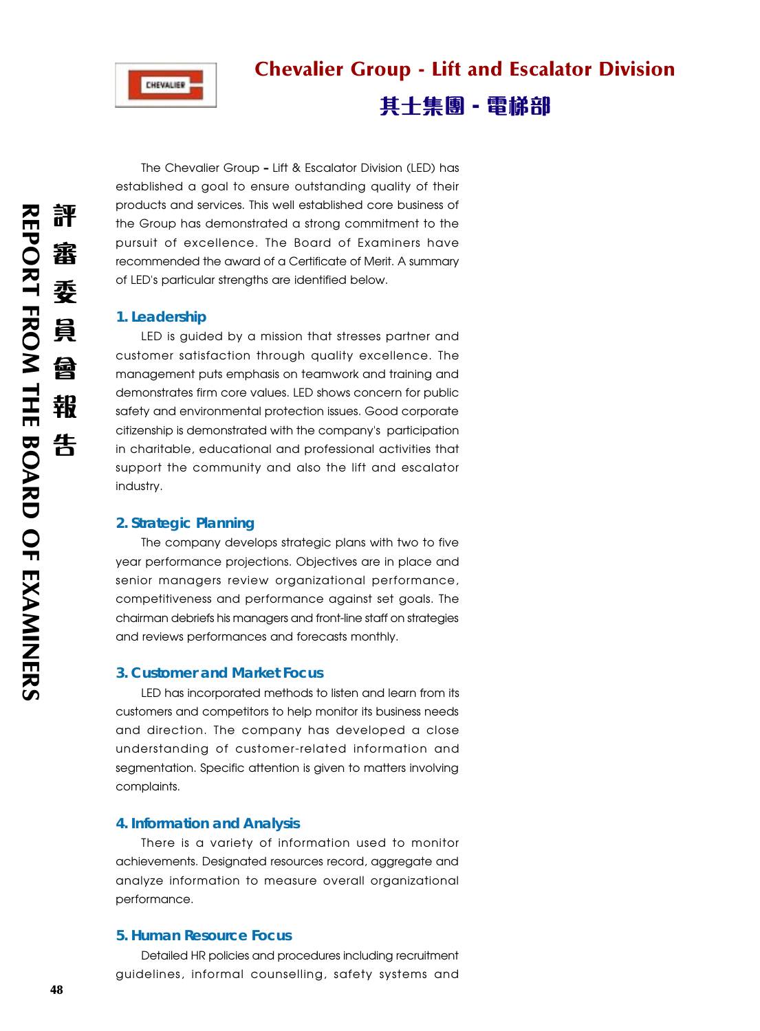

# Chevalier Group - Lift and Escalator Division

# 其士集團 - 電梯部

The Chevalier Group **–** Lift & Escalator Division (LED) has established a goal to ensure outstanding quality of their products and services. This well established core business of the Group has demonstrated a strong commitment to the pursuit of excellence. The Board of Examiners have recommended the award of a Certificate of Merit. A summary of LED's particular strengths are identified below.

# **1. Leadership**

LED is guided by a mission that stresses partner and customer satisfaction through quality excellence. The management puts emphasis on teamwork and training and demonstrates firm core values. LED shows concern for public safety and environmental protection issues. Good corporate citizenship is demonstrated with the company's participation in charitable, educational and professional activities that support the community and also the lift and escalator industry.

## **2. Strategic Planning**

The company develops strategic plans with two to five year performance projections. Objectives are in place and senior managers review organizational performance, competitiveness and performance against set goals. The chairman debriefs his managers and front-line staff on strategies and reviews performances and forecasts monthly.

#### **3. Customer and Market Focus**

LED has incorporated methods to listen and learn from its customers and competitors to help monitor its business needs and direction. The company has developed a close understanding of customer-related information and segmentation. Specific attention is given to matters involving complaints.

#### **4. Information and Analysis**

There is a variety of information used to monitor achievements. Designated resources record, aggregate and analyze information to measure overall organizational performance.

#### **5. Human Resource Focus**

Detailed HR policies and procedures including recruitment guidelines, informal counselling, safety systems and